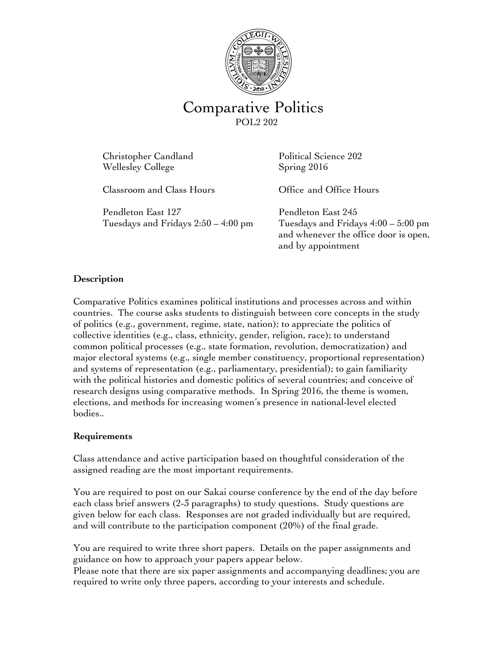

# Comparative Politics

Christopher Candland Political Science 202 Wellesley College Spring 2016

Classroom and Class Hours Office and Office Hours

Pendleton East 127 Pendleton East 245 Tuesdays and Fridays 2:50 – 4:00 pm Tuesdays and Fridays 4:00 – 5:00 pm

and whenever the office door is open, and by appointment

# **Description**

Comparative Politics examines political institutions and processes across and within countries. The course asks students to distinguish between core concepts in the study of politics (e.g., government, regime, state, nation); to appreciate the politics of collective identities (e.g., class, ethnicity, gender, religion, race); to understand common political processes (e.g., state formation, revolution, democratization) and major electoral systems (e.g., single member constituency, proportional representation) and systems of representation (e.g., parliamentary, presidential); to gain familiarity with the political histories and domestic politics of several countries; and conceive of research designs using comparative methods. In Spring 2016, the theme is women, elections, and methods for increasing women's presence in national-level elected bodies..

# **Requirements**

Class attendance and active participation based on thoughtful consideration of the assigned reading are the most important requirements.

You are required to post on our Sakai course conference by the end of the day before each class brief answers (2-3 paragraphs) to study questions. Study questions are given below for each class. Responses are not graded individually but are required, and will contribute to the participation component (20%) of the final grade.

You are required to write three short papers. Details on the paper assignments and guidance on how to approach your papers appear below.

Please note that there are six paper assignments and accompanying deadlines; you are required to write only three papers, according to your interests and schedule.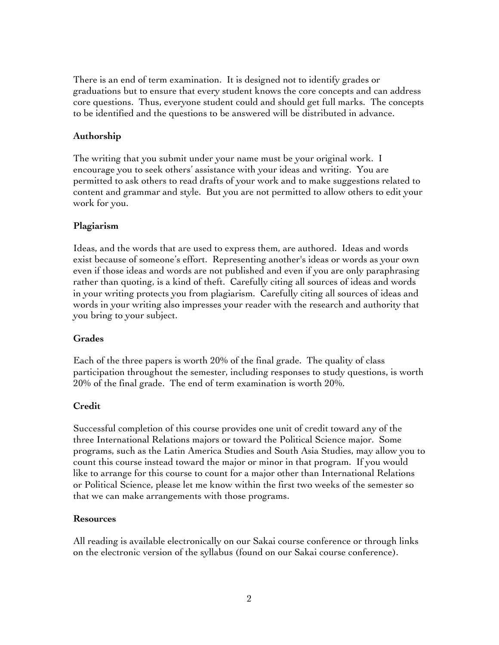There is an end of term examination. It is designed not to identify grades or graduations but to ensure that every student knows the core concepts and can address core questions. Thus, everyone student could and should get full marks. The concepts to be identified and the questions to be answered will be distributed in advance.

#### **Authorship**

The writing that you submit under your name must be your original work. I encourage you to seek others' assistance with your ideas and writing. You are permitted to ask others to read drafts of your work and to make suggestions related to content and grammar and style. But you are not permitted to allow others to edit your work for you.

#### **Plagiarism**

Ideas, and the words that are used to express them, are authored. Ideas and words exist because of someone's effort. Representing another's ideas or words as your own even if those ideas and words are not published and even if you are only paraphrasing rather than quoting, is a kind of theft. Carefully citing all sources of ideas and words in your writing protects you from plagiarism. Carefully citing all sources of ideas and words in your writing also impresses your reader with the research and authority that you bring to your subject.

#### **Grades**

Each of the three papers is worth 20% of the final grade. The quality of class participation throughout the semester, including responses to study questions, is worth 20% of the final grade. The end of term examination is worth 20%.

#### **Credit**

Successful completion of this course provides one unit of credit toward any of the three International Relations majors or toward the Political Science major. Some programs, such as the Latin America Studies and South Asia Studies, may allow you to count this course instead toward the major or minor in that program. If you would like to arrange for this course to count for a major other than International Relations or Political Science, please let me know within the first two weeks of the semester so that we can make arrangements with those programs.

#### **Resources**

All reading is available electronically on our Sakai course conference or through links on the electronic version of the syllabus (found on our Sakai course conference).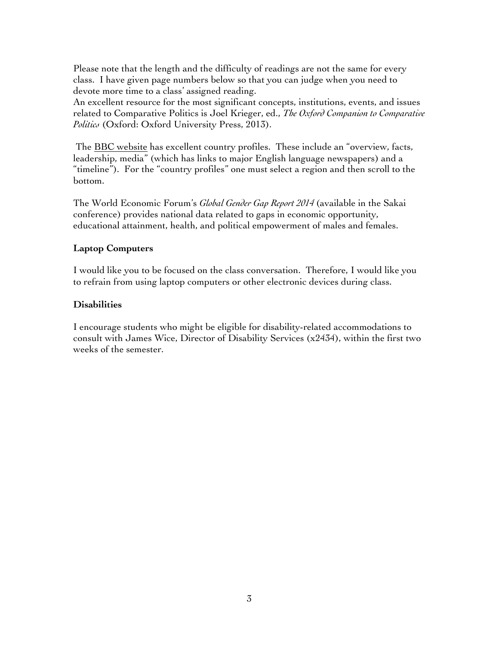Please note that the length and the difficulty of readings are not the same for every class. I have given page numbers below so that you can judge when you need to devote more time to a class' assigned reading.

An excellent resource for the most significant concepts, institutions, events, and issues related to Comparative Politics is Joel Krieger, ed., *The Oxford Companion to Comparative Politics* (Oxford: Oxford University Press, 2013).

The **BBC** website has excellent country profiles. These include an "overview, facts, leadership, media" (which has links to major English language newspapers) and a "timeline"). For the "country profiles" one must select a region and then scroll to the bottom.

The World Economic Forum's *Global Gender Gap Report 2014* (available in the Sakai conference) provides national data related to gaps in economic opportunity, educational attainment, health, and political empowerment of males and females.

# **Laptop Computers**

I would like you to be focused on the class conversation. Therefore, I would like you to refrain from using laptop computers or other electronic devices during class.

# **Disabilities**

I encourage students who might be eligible for disability-related accommodations to consult with James Wice, Director of Disability Services  $(x2434)$ , within the first two weeks of the semester.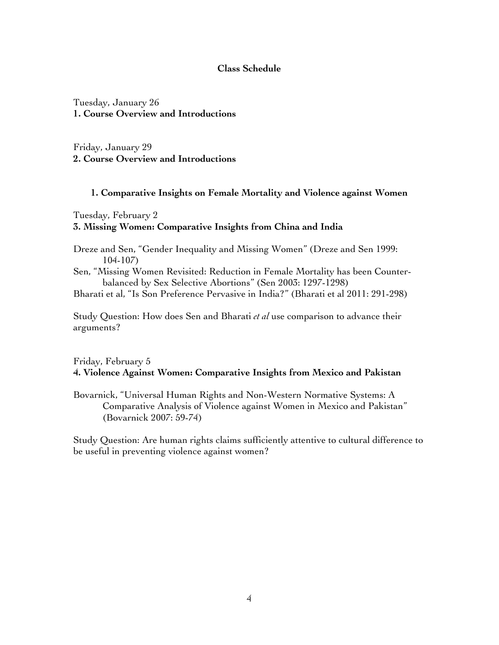#### **Class Schedule**

Tuesday, January 26 **1. Course Overview and Introductions**

Friday, January 29 **2. Course Overview and Introductions**

#### **1. Comparative Insights on Female Mortality and Violence against Women**

Tuesday, February 2

## **3. Missing Women: Comparative Insights from China and India**

- Dreze and Sen, "Gender Inequality and Missing Women" (Dreze and Sen 1999: 104-107)
- Sen, "Missing Women Revisited: Reduction in Female Mortality has been Counterbalanced by Sex Selective Abortions" (Sen 2003: 1297-1298)

Bharati et al, "Is Son Preference Pervasive in India?" (Bharati et al 2011: 291-298)

Study Question: How does Sen and Bharati *et al* use comparison to advance their arguments?

# Friday, February 5 **4. Violence Against Women: Comparative Insights from Mexico and Pakistan**

Bovarnick, "Universal Human Rights and Non-Western Normative Systems: A Comparative Analysis of Violence against Women in Mexico and Pakistan" (Bovarnick 2007: 59-74)

Study Question: Are human rights claims sufficiently attentive to cultural difference to be useful in preventing violence against women?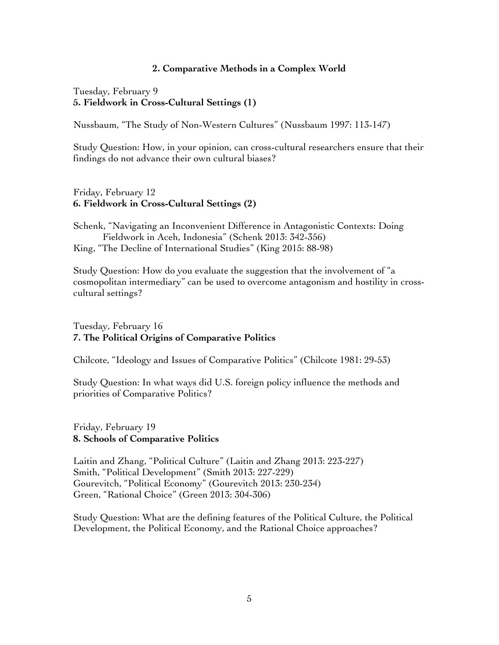#### **2. Comparative Methods in a Complex World**

Tuesday, February 9 **5. Fieldwork in Cross-Cultural Settings (1)**

Nussbaum, "The Study of Non-Western Cultures" (Nussbaum 1997: 113-147)

Study Question: How, in your opinion, can cross-cultural researchers ensure that their findings do not advance their own cultural biases?

## Friday, February 12 **6. Fieldwork in Cross-Cultural Settings (2)**

Schenk, "Navigating an Inconvenient Difference in Antagonistic Contexts: Doing Fieldwork in Aceh, Indonesia" (Schenk 2013: 342-356) King, "The Decline of International Studies" (King 2015: 88-98)

Study Question: How do you evaluate the suggestion that the involvement of "a cosmopolitan intermediary" can be used to overcome antagonism and hostility in crosscultural settings?

# Tuesday, February 16 **7. The Political Origins of Comparative Politics**

Chilcote, "Ideology and Issues of Comparative Politics" (Chilcote 1981: 29-53)

Study Question: In what ways did U.S. foreign policy influence the methods and priorities of Comparative Politics?

## Friday, February 19 **8. Schools of Comparative Politics**

Laitin and Zhang, "Political Culture" (Laitin and Zhang 2013: 223-227) Smith, "Political Development" (Smith 2013: 227-229) Gourevitch, "Political Economy" (Gourevitch 2013: 230-234) Green, "Rational Choice" (Green 2013: 304-306)

Study Question: What are the defining features of the Political Culture, the Political Development, the Political Economy, and the Rational Choice approaches?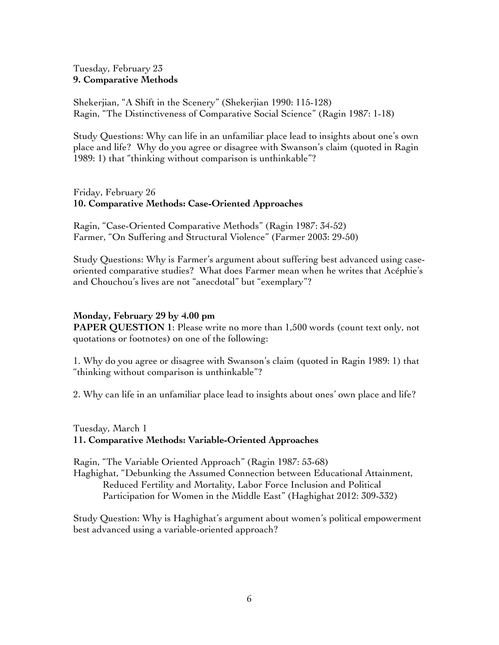# Tuesday, February 23 **9. Comparative Methods**

Shekerjian, "A Shift in the Scenery" (Shekerjian 1990: 115-128) Ragin, "The Distinctiveness of Comparative Social Science" (Ragin 1987: 1-18)

Study Questions: Why can life in an unfamiliar place lead to insights about one's own place and life? Why do you agree or disagree with Swanson's claim (quoted in Ragin 1989: 1) that "thinking without comparison is unthinkable"?

Friday, February 26 **10. Comparative Methods: Case-Oriented Approaches**

Ragin, "Case-Oriented Comparative Methods" (Ragin 1987: 34-52) Farmer, "On Suffering and Structural Violence" (Farmer 2003: 29-50)

Study Questions: Why is Farmer's argument about suffering best advanced using caseoriented comparative studies? What does Farmer mean when he writes that Acéphie's and Chouchou's lives are not "anecdotal" but "exemplary"?

# **Monday, February 29 by 4.00 pm**

**PAPER QUESTION 1**: Please write no more than 1,500 words (count text only, not quotations or footnotes) on one of the following:

1. Why do you agree or disagree with Swanson's claim (quoted in Ragin 1989: 1) that "thinking without comparison is unthinkable"?

2. Why can life in an unfamiliar place lead to insights about ones' own place and life?

## Tuesday, March 1 **11. Comparative Methods: Variable-Oriented Approaches**

Ragin, "The Variable Oriented Approach" (Ragin 1987: 53-68) Haghighat, "Debunking the Assumed Connection between Educational Attainment, Reduced Fertility and Mortality, Labor Force Inclusion and Political Participation for Women in the Middle East" (Haghighat 2012: 309-332)

Study Question: Why is Haghighat's argument about women's political empowerment best advanced using a variable-oriented approach?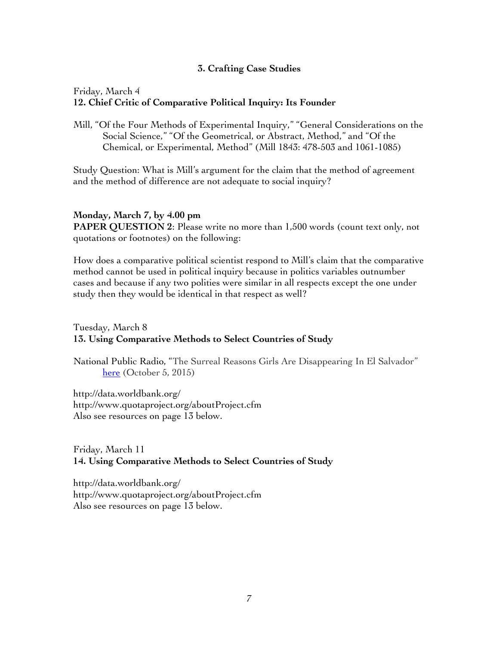# **3. Crafting Case Studies**

## Friday, March 4 **12. Chief Critic of Comparative Political Inquiry: Its Founder**

Mill, "Of the Four Methods of Experimental Inquiry," "General Considerations on the Social Science," "Of the Geometrical, or Abstract, Method," and "Of the Chemical, or Experimental, Method" (Mill 1843: 478-503 and 1061-1085)

Study Question: What is Mill's argument for the claim that the method of agreement and the method of difference are not adequate to social inquiry?

#### **Monday, March 7, by 4.00 pm**

**PAPER QUESTION 2:** Please write no more than 1,500 words (count text only, not quotations or footnotes) on the following:

How does a comparative political scientist respond to Mill's claim that the comparative method cannot be used in political inquiry because in politics variables outnumber cases and because if any two polities were similar in all respects except the one under study then they would be identical in that respect as well?

# Tuesday, March 8 **13. Using Comparative Methods to Select Countries of Study**

National Public Radio, "The Surreal Reasons Girls Are Disappearing In El Salvador" here (October 5, 2015)

http://data.worldbank.org/ http://www.quotaproject.org/aboutProject.cfm Also see resources on page 13 below.

# Friday, March 11 **14. Using Comparative Methods to Select Countries of Study**

http://data.worldbank.org/ http://www.quotaproject.org/aboutProject.cfm Also see resources on page 13 below.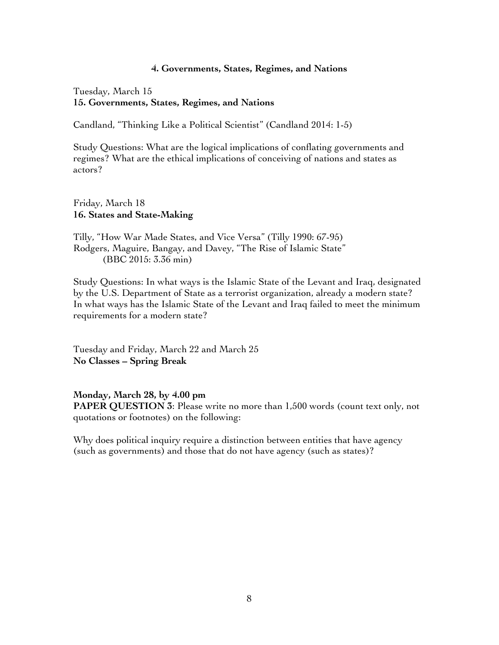#### **4. Governments, States, Regimes, and Nations**

Tuesday, March 15 **15. Governments, States, Regimes, and Nations**

Candland, "Thinking Like a Political Scientist" (Candland 2014: 1-5)

Study Questions: What are the logical implications of conflating governments and regimes? What are the ethical implications of conceiving of nations and states as actors?

Friday, March 18 **16. States and State-Making** 

Tilly, "How War Made States, and Vice Versa" (Tilly 1990: 67-95) Rodgers, Maguire, Bangay, and Davey, "The Rise of Islamic State" (BBC 2015: 3.36 min)

Study Questions: In what ways is the Islamic State of the Levant and Iraq, designated by the U.S. Department of State as a terrorist organization, already a modern state? In what ways has the Islamic State of the Levant and Iraq failed to meet the minimum requirements for a modern state?

Tuesday and Friday, March 22 and March 25 **No Classes – Spring Break** 

**Monday, March 28, by 4.00 pm** 

**PAPER QUESTION 3**: Please write no more than 1,500 words (count text only, not quotations or footnotes) on the following:

Why does political inquiry require a distinction between entities that have agency (such as governments) and those that do not have agency (such as states)?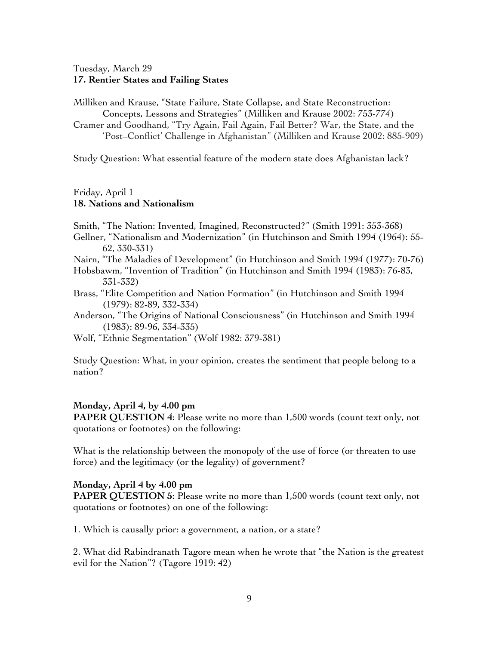# Tuesday, March 29 **17. Rentier States and Failing States**

Milliken and Krause, "State Failure, State Collapse, and State Reconstruction: Concepts, Lessons and Strategies" (Milliken and Krause 2002: 753-774) Cramer and Goodhand, "Try Again, Fail Again, Fail Better? War, the State, and the 'Post–Conflict' Challenge in Afghanistan" (Milliken and Krause 2002: 885-909)

Study Question: What essential feature of the modern state does Afghanistan lack?

#### Friday, April 1 **18. Nations and Nationalism**

- Smith, "The Nation: Invented, Imagined, Reconstructed?" (Smith 1991: 353-368)
- Gellner, "Nationalism and Modernization" (in Hutchinson and Smith 1994 (1964): 55- 62, 330-331)
- Nairn, "The Maladies of Development" (in Hutchinson and Smith 1994 (1977): 70-76)
- Hobsbawm, "Invention of Tradition" (in Hutchinson and Smith 1994 (1983): 76-83, 331-332)
- Brass, "Elite Competition and Nation Formation" (in Hutchinson and Smith 1994 (1979): 82-89, 332-334)
- Anderson, "The Origins of National Consciousness" (in Hutchinson and Smith 1994 (1983): 89-96, 334-335)
- Wolf, "Ethnic Segmentation" (Wolf 1982: 379-381)

Study Question: What, in your opinion, creates the sentiment that people belong to a nation?

#### **Monday, April 4, by 4.00 pm**

**PAPER QUESTION 4:** Please write no more than 1,500 words (count text only, not quotations or footnotes) on the following:

What is the relationship between the monopoly of the use of force (or threaten to use force) and the legitimacy (or the legality) of government?

#### **Monday, April 4 by 4.00 pm**

**PAPER QUESTION 5:** Please write no more than 1,500 words (count text only, not quotations or footnotes) on one of the following:

1. Which is causally prior: a government, a nation, or a state?

2. What did Rabindranath Tagore mean when he wrote that "the Nation is the greatest evil for the Nation"? (Tagore 1919: 42)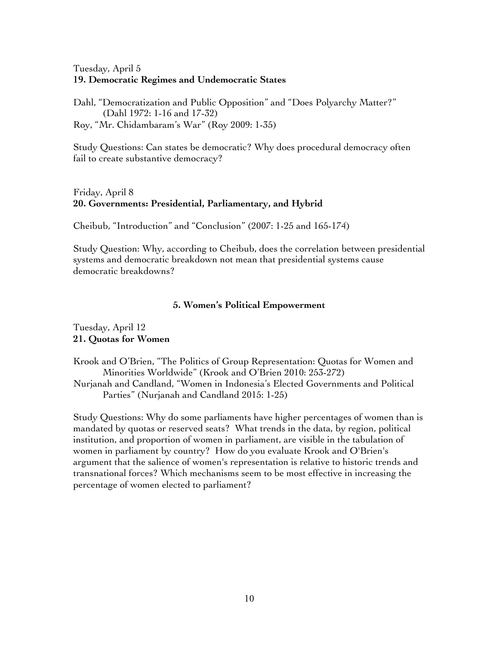# Tuesday, April 5 **19. Democratic Regimes and Undemocratic States**

Dahl, "Democratization and Public Opposition" and "Does Polyarchy Matter?" (Dahl 1972: 1-16 and 17-32) Roy, "Mr. Chidambaram's War" (Roy 2009: 1-35)

Study Questions: Can states be democratic? Why does procedural democracy often fail to create substantive democracy?

# Friday, April 8 **20. Governments: Presidential, Parliamentary, and Hybrid**

Cheibub, "Introduction" and "Conclusion" (2007: 1-25 and 165-174)

Study Question: Why, according to Cheibub, does the correlation between presidential systems and democratic breakdown not mean that presidential systems cause democratic breakdowns?

## **5. Women's Political Empowerment**

# Tuesday, April 12 **21. Quotas for Women**

Krook and O'Brien, "The Politics of Group Representation: Quotas for Women and Minorities Worldwide" (Krook and O'Brien 2010: 253-272) Nurjanah and Candland, "Women in Indonesia's Elected Governments and Political Parties" (Nurjanah and Candland 2015: 1-25)

Study Questions: Why do some parliaments have higher percentages of women than is mandated by quotas or reserved seats? What trends in the data, by region, political institution, and proportion of women in parliament, are visible in the tabulation of women in parliament by country? How do you evaluate Krook and O'Brien's argument that the salience of women's representation is relative to historic trends and transnational forces? Which mechanisms seem to be most effective in increasing the percentage of women elected to parliament?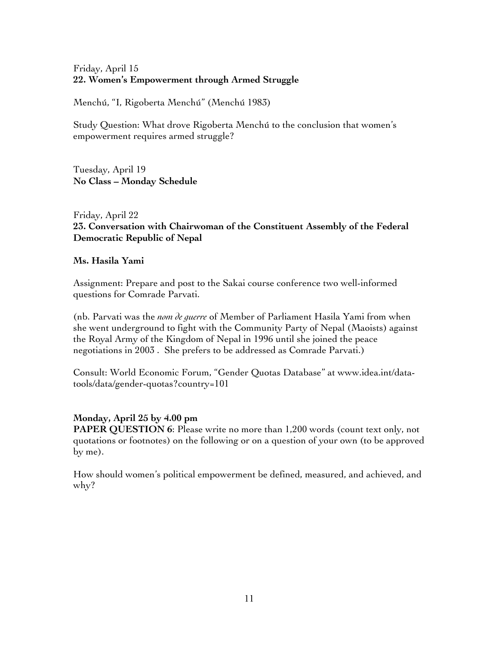# Friday, April 15 **22. Women's Empowerment through Armed Struggle**

Menchú, "I, Rigoberta Menchú" (Menchú 1983)

Study Question: What drove Rigoberta Menchú to the conclusion that women's empowerment requires armed struggle?

Tuesday, April 19 **No Class – Monday Schedule**

# Friday, April 22 **23. Conversation with Chairwoman of the Constituent Assembly of the Federal Democratic Republic of Nepal**

# **Ms. Hasila Yami**

Assignment: Prepare and post to the Sakai course conference two well-informed questions for Comrade Parvati.

(nb. Parvati was the *nom de guerre* of Member of Parliament Hasila Yami from when she went underground to fight with the Community Party of Nepal (Maoists) against the Royal Army of the Kingdom of Nepal in 1996 until she joined the peace negotiations in 2003 . She prefers to be addressed as Comrade Parvati.)

Consult: World Economic Forum, "Gender Quotas Database" at www.idea.int/datatools/data/gender-quotas?country=101

## **Monday, April 25 by 4.00 pm**

**PAPER QUESTION 6**: Please write no more than 1,200 words (count text only, not quotations or footnotes) on the following or on a question of your own (to be approved by me).

How should women's political empowerment be defined, measured, and achieved, and why?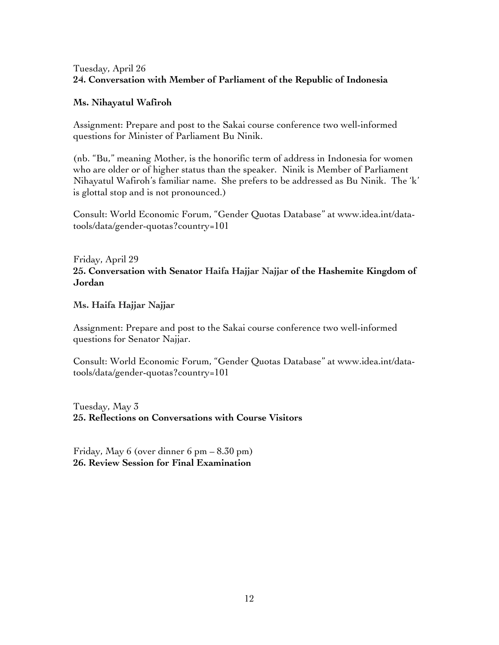# Tuesday, April 26 **24. Conversation with Member of Parliament of the Republic of Indonesia**

# **Ms. Nihayatul Wafiroh**

Assignment: Prepare and post to the Sakai course conference two well-informed questions for Minister of Parliament Bu Ninik.

(nb. "Bu," meaning Mother, is the honorific term of address in Indonesia for women who are older or of higher status than the speaker. Ninik is Member of Parliament Nihayatul Wafiroh's familiar name. She prefers to be addressed as Bu Ninik. The 'k' is glottal stop and is not pronounced.)

Consult: World Economic Forum, "Gender Quotas Database" at www.idea.int/datatools/data/gender-quotas?country=101

Friday, April 29 **25. Conversation with Senator Haifa Hajjar Najjar of the Hashemite Kingdom of Jordan** 

**Ms. Haifa Hajjar Najjar** 

Assignment: Prepare and post to the Sakai course conference two well-informed questions for Senator Najjar.

Consult: World Economic Forum, "Gender Quotas Database" at www.idea.int/datatools/data/gender-quotas?country=101

Tuesday, May 3 **25. Reflections on Conversations with Course Visitors**

Friday, May 6 (over dinner 6 pm – 8.30 pm) **26. Review Session for Final Examination**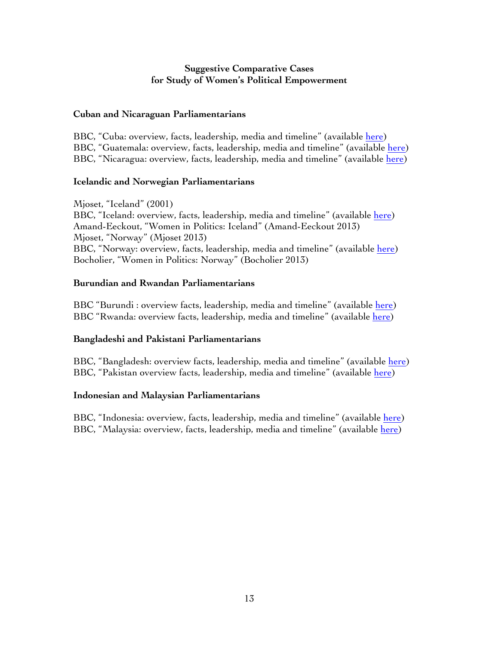# **Suggestive Comparative Cases for Study of Women's Political Empowerment**

## **Cuban and Nicaraguan Parliamentarians**

BBC, "Cuba: overview, facts, leadership, media and timeline" (available here) BBC, "Guatemala: overview, facts, leadership, media and timeline" (available here) BBC, "Nicaragua: overview, facts, leadership, media and timeline" (available here)

#### **Icelandic and Norwegian Parliamentarians**

Mjoset, "Iceland" (2001) BBC, "Iceland: overview, facts, leadership, media and timeline" (available here) Amand-Eeckout, "Women in Politics: Iceland" (Amand-Eeckout 2013) Mjoset, "Norway" (Mjoset 2013) BBC, "Norway: overview, facts, leadership, media and timeline" (available here) Bocholier, "Women in Politics: Norway" (Bocholier 2013)

## **Burundian and Rwandan Parliamentarians**

BBC "Burundi : overview facts, leadership, media and timeline" (available here) BBC "Rwanda: overview facts, leadership, media and timeline" (available here)

## **Bangladeshi and Pakistani Parliamentarians**

BBC, "Bangladesh: overview facts, leadership, media and timeline" (available here) BBC, "Pakistan overview facts, leadership, media and timeline" (available here)

## **Indonesian and Malaysian Parliamentarians**

BBC, "Indonesia: overview, facts, leadership, media and timeline" (available here) BBC, "Malaysia: overview, facts, leadership, media and timeline" (available here)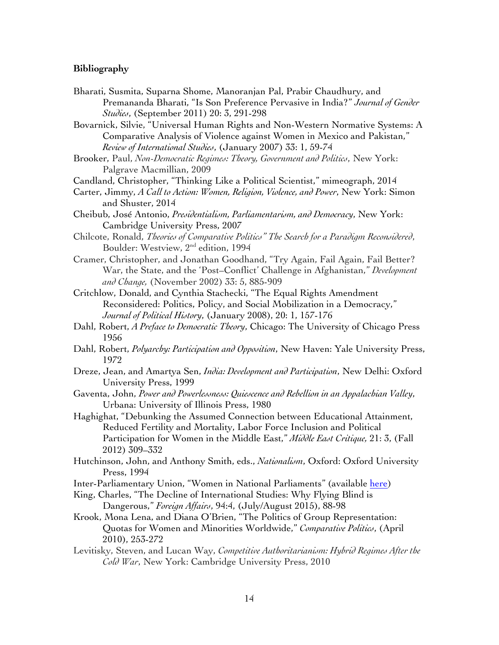#### **Bibliography**

Bharati, Susmita, Suparna Shome, Manoranjan Pal, Prabir Chaudhury, and Premananda Bharati, "Is Son Preference Pervasive in India?" *Journal of Gender Studies*, (September 2011) 20: 3, 291-298

Bovarnick, Silvie, "Universal Human Rights and Non-Western Normative Systems: A Comparative Analysis of Violence against Women in Mexico and Pakistan," *Review of International Studies*, (January 2007) 33: 1, 59-74

Brooker, Paul, *Non-Democratic Regimes: Theory, Government and Politics*, New York: Palgrave Macmillian, 2009

Candland, Christopher, "Thinking Like a Political Scientist," mimeograph, 2014

- Carter, Jimmy, *A Call to Action: Women, Religion, Violence, and Power*, New York: Simon and Shuster, 2014
- Cheibub, José Antonio, *Presidentialism, Parliamentarism, and Democracy*, New York: Cambridge University Press, 2007
- Chilcote, Ronald, *Theories of Comparative Politics" The Search for a Paradigm Reconsidered*, Boulder: Westview, 2nd edition, 1994
- Cramer, Christopher, and Jonathan Goodhand, "Try Again, Fail Again, Fail Better? War, the State, and the 'Post–Conflict' Challenge in Afghanistan," *Development and Change,* (November 2002) 33: 5, 885-909
- Critchlow, Donald, and Cynthia Stachecki, "The Equal Rights Amendment Reconsidered: Politics, Policy, and Social Mobilization in a Democracy," *Journal of Political History*, (January 2008), 20: 1, 157-176
- Dahl, Robert, *A Preface to Democratic Theory*, Chicago: The University of Chicago Press 1956
- Dahl, Robert, *Polyarchy: Participation and Opposition*, New Haven: Yale University Press, 1972
- Dreze, Jean, and Amartya Sen, *India: Development and Participation*, New Delhi: Oxford University Press, 1999
- Gaventa, John, *Power and Powerlessness: Quiescence and Rebellion in an Appalachian Valley*, Urbana: University of Illinois Press, 1980
- Haghighat, "Debunking the Assumed Connection between Educational Attainment, Reduced Fertility and Mortality, Labor Force Inclusion and Political Participation for Women in the Middle East," *Middle East Critique,* 21: 3, (Fall 2012) 309–332
- Hutchinson, John, and Anthony Smith, eds., *Nationalism*, Oxford: Oxford University Press, 1994
- Inter-Parliamentary Union, "Women in National Parliaments" (available here)
- King, Charles, "The Decline of International Studies: Why Flying Blind is Dangerous," *Foreign Affairs*, 94:4, (July/August 2015), 88-98
- Krook, Mona Lena, and Diana O'Brien, "The Politics of Group Representation: Quotas for Women and Minorities Worldwide," *Comparative Politics*, (April 2010), 253-272
- Levitisky, Steven, and Lucan Way, *Competitive Authoritarianism: Hybrid Regimes After the Cold War*, New York: Cambridge University Press, 2010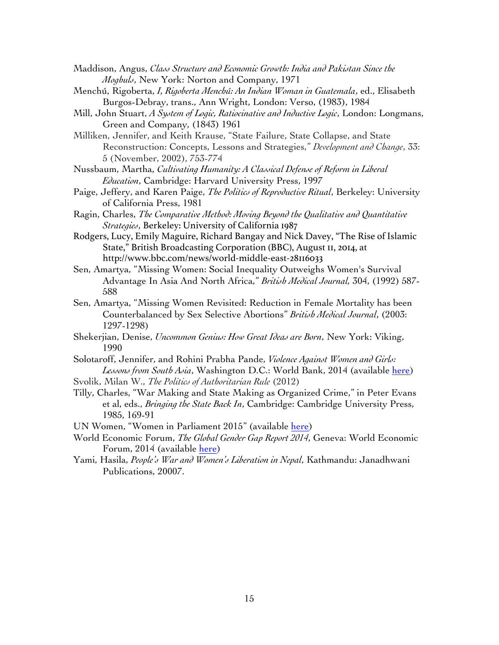- Maddison, Angus, *Class Structure and Economic Growth: India and Pakistan Since the Moghuls*, New York: Norton and Company, 1971
- Menchú, Rigoberta, *I, Rigoberta Menchú: An Indian Woman in Guatemala*, ed., Elisabeth Burgos-Debray, trans., Ann Wright, London: Verso, (1983), 1984
- Mill, John Stuart, *A System of Logic, Ratiocinative and Inductive Logic*, London: Longmans, Green and Company, (1843) 1961
- Milliken, Jennifer, and Keith Krause, "State Failure, State Collapse, and State Reconstruction: Concepts, Lessons and Strategies," *Development and Change*, 33: 5 (November, 2002), 753-774
- Nussbaum, Martha, *Cultivating Humanity: A Classical Defense of Reform in Liberal Education*, Cambridge: Harvard University Press, 1997
- Paige, Jeffery, and Karen Paige, *The Politics of Reproductive Ritual*, Berkeley: University of California Press, 1981
- Ragin, Charles, *The Comparative Method: Moving Beyond the Qualitative and Quantitative Strategies*, Berkeley: University of California 1987
- Rodgers, Lucy, Emily Maguire, Richard Bangay and Nick Davey, "The Rise of Islamic State," British Broadcasting Corporation (BBC), August 11, 2014, at http://www.bbc.com/news/world-middle-east-28116033
- Sen, Amartya, "Missing Women: Social Inequality Outweighs Women's Survival Advantage In Asia And North Africa," *British Medical Journal,* 304, (1992) 587- 588
- Sen, Amartya, "Missing Women Revisited: Reduction in Female Mortality has been Counterbalanced by Sex Selective Abortions" *British Medical Journal*, (2003: 1297-1298)
- Shekerjian, Denise, *Uncommon Genius: How Great Ideas are Born*, New York: Viking, 1990
- Solotaroff, Jennifer, and Rohini Prabha Pande, *Violence Against Women and Girls: Lessons from South Asia*, Washington D.C.: World Bank, 2014 (available here)

Svolik, Milan W., *The Politics of Authoritarian Rule* (2012)

- Tilly, Charles, "War Making and State Making as Organized Crime," in Peter Evans et al, eds., *Bringing the State Back In*, Cambridge: Cambridge University Press, 1985, 169-91
- UN Women, "Women in Parliament 2015" (available here)
- World Economic Forum, *The Global Gender Gap Report 2014*, Geneva: World Economic Forum, 2014 (available here)
- Yami, Hasila, *People's War and Women's Liberation in Nepal*, Kathmandu: Janadhwani Publications, 20007.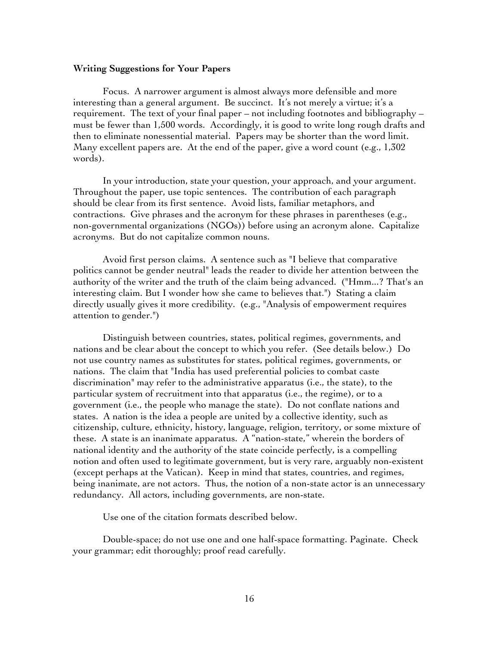#### **Writing Suggestions for Your Papers**

Focus. A narrower argument is almost always more defensible and more interesting than a general argument. Be succinct. It's not merely a virtue; it's a requirement. The text of your final paper – not including footnotes and bibliography – must be fewer than 1,500 words. Accordingly, it is good to write long rough drafts and then to eliminate nonessential material. Papers may be shorter than the word limit. Many excellent papers are. At the end of the paper, give a word count (e.g., 1,302 words).

In your introduction, state your question, your approach, and your argument. Throughout the paper, use topic sentences. The contribution of each paragraph should be clear from its first sentence. Avoid lists, familiar metaphors, and contractions. Give phrases and the acronym for these phrases in parentheses (e.g., non-governmental organizations (NGOs)) before using an acronym alone. Capitalize acronyms. But do not capitalize common nouns.

Avoid first person claims. A sentence such as "I believe that comparative politics cannot be gender neutral" leads the reader to divide her attention between the authority of the writer and the truth of the claim being advanced. ("Hmm...? That's an interesting claim. But I wonder how she came to believes that.") Stating a claim directly usually gives it more credibility. (e.g., "Analysis of empowerment requires attention to gender.")

Distinguish between countries, states, political regimes, governments, and nations and be clear about the concept to which you refer. (See details below.) Do not use country names as substitutes for states, political regimes, governments, or nations. The claim that "India has used preferential policies to combat caste discrimination" may refer to the administrative apparatus (i.e., the state), to the particular system of recruitment into that apparatus (i.e., the regime), or to a government (i.e., the people who manage the state). Do not conflate nations and states. A nation is the idea a people are united by a collective identity, such as citizenship, culture, ethnicity, history, language, religion, territory, or some mixture of these. A state is an inanimate apparatus. A "nation-state," wherein the borders of national identity and the authority of the state coincide perfectly, is a compelling notion and often used to legitimate government, but is very rare, arguably non-existent (except perhaps at the Vatican). Keep in mind that states, countries, and regimes, being inanimate, are not actors. Thus, the notion of a non-state actor is an unnecessary redundancy. All actors, including governments, are non-state.

Use one of the citation formats described below.

Double-space; do not use one and one half-space formatting. Paginate. Check your grammar; edit thoroughly; proof read carefully.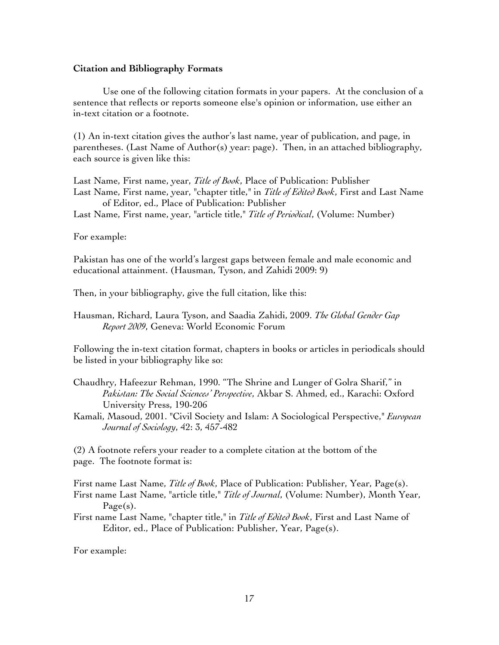#### **Citation and Bibliography Formats**

Use one of the following citation formats in your papers. At the conclusion of a sentence that reflects or reports someone else's opinion or information, use either an in-text citation or a footnote.

(1) An in-text citation gives the author's last name, year of publication, and page, in parentheses. (Last Name of Author(s) year: page). Then, in an attached bibliography, each source is given like this:

Last Name, First name, year, *Title of Book*, Place of Publication: Publisher Last Name, First name, year, "chapter title," in *Title of Edited Book*, First and Last Name of Editor, ed., Place of Publication: Publisher

Last Name, First name, year, "article title," *Title of Periodical*, (Volume: Number)

#### For example:

Pakistan has one of the world's largest gaps between female and male economic and educational attainment. (Hausman, Tyson, and Zahidi 2009: 9)

Then, in your bibliography, give the full citation, like this:

Hausman, Richard, Laura Tyson, and Saadia Zahidi, 2009. *The Global Gender Gap Report 2009*, Geneva: World Economic Forum

Following the in-text citation format, chapters in books or articles in periodicals should be listed in your bibliography like so:

Chaudhry, Hafeezur Rehman, 1990. "The Shrine and Lunger of Golra Sharif," in *Pakistan: The Social Sciences' Perspective*, Akbar S. Ahmed, ed., Karachi: Oxford University Press, 190-206

Kamali, Masoud, 2001. "Civil Society and Islam: A Sociological Perspective," *European Journal of Sociology*, 42: 3, 457-482

(2) A footnote refers your reader to a complete citation at the bottom of the page. The footnote format is:

First name Last Name, *Title of Book*, Place of Publication: Publisher, Year, Page(s).

- First name Last Name, "article title," *Title of Journal*, (Volume: Number), Month Year, Page(s).
- First name Last Name, "chapter title," in *Title of Edited Book*, First and Last Name of Editor, ed., Place of Publication: Publisher, Year, Page(s).

For example: